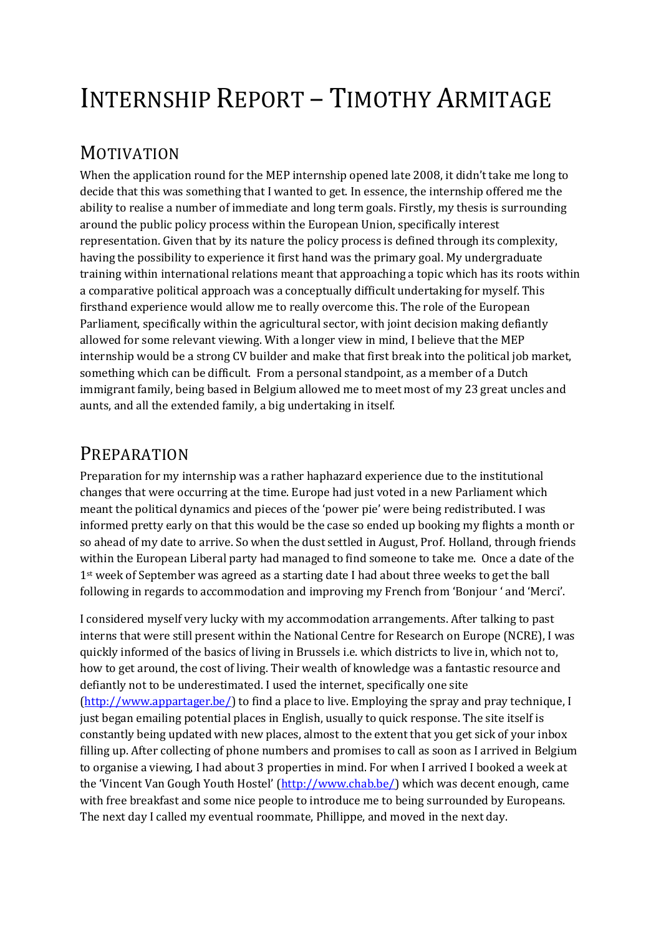# INTERNSHIP REPORT – TIMOTHY ARMITAGE

### MOTIVATION

When the application round for the MEP internship opened late 2008, it didn't take me long to decide that this was something that I wanted to get. In essence, the internship offered me the ability to realise a number of immediate and long term goals. Firstly, my thesis is surrounding around the public policy process within the European Union, specifically interest representation. Given that by its nature the policy process is defined through its complexity, having the possibility to experience it first hand was the primary goal. My undergraduate training within international relations meant that approaching a topic which has its roots within a comparative political approach was a conceptually difficult undertaking for myself. This firsthand experience would allow me to really overcome this. The role of the European Parliament, specifically within the agricultural sector, with joint decision making defiantly allowed for some relevant viewing. With a longer view in mind, I believe that the MEP internship would be a strong CV builder and make that first break into the political job market, something which can be difficult. From a personal standpoint, as a member of a Dutch immigrant family, being based in Belgium allowed me to meet most of my 23 great uncles and aunts, and all the extended family, a big undertaking in itself.

## PREPARATION

Preparation for my internship was a rather haphazard experience due to the institutional changes that were occurring at the time. Europe had just voted in a new Parliament which meant the political dynamics and pieces of the 'power pie' were being redistributed. I was informed pretty early on that this would be the case so ended up booking my flights a month or so ahead of my date to arrive. So when the dust settled in August, Prof. Holland, through friends within the European Liberal party had managed to find someone to take me. Once a date of the 1<sup>st</sup> week of September was agreed as a starting date I had about three weeks to get the ball following in regards to accommodation and improving my French from 'Bonjour ' and 'Merci'.

I considered myself very lucky with my accommodation arrangements. After talking to past interns that were still present within the National Centre for Research on Europe (NCRE), I was quickly informed of the basics of living in Brussels i.e. which districts to live in, which not to, how to get around, the cost of living. Their wealth of knowledge was a fantastic resource and defiantly not to be underestimated. I used the internet, specifically one site (http://www.appartager.be/) to find a place to live. Employing the spray and pray technique, I just began emailing potential places in English, usually to quick response. The site itself is constantly being updated with new places, almost to the extent that you get sick of your inbox filling up. After collecting of phone numbers and promises to call as soon as I arrived in Belgium to organise a viewing, I had about 3 properties in mind. For when I arrived I booked a week at the 'Vincent Van Gough Youth Hostel' (http://www.chab.be/) which was decent enough, came with free breakfast and some nice people to introduce me to being surrounded by Europeans. The next day I called my eventual roommate, Phillippe, and moved in the next day.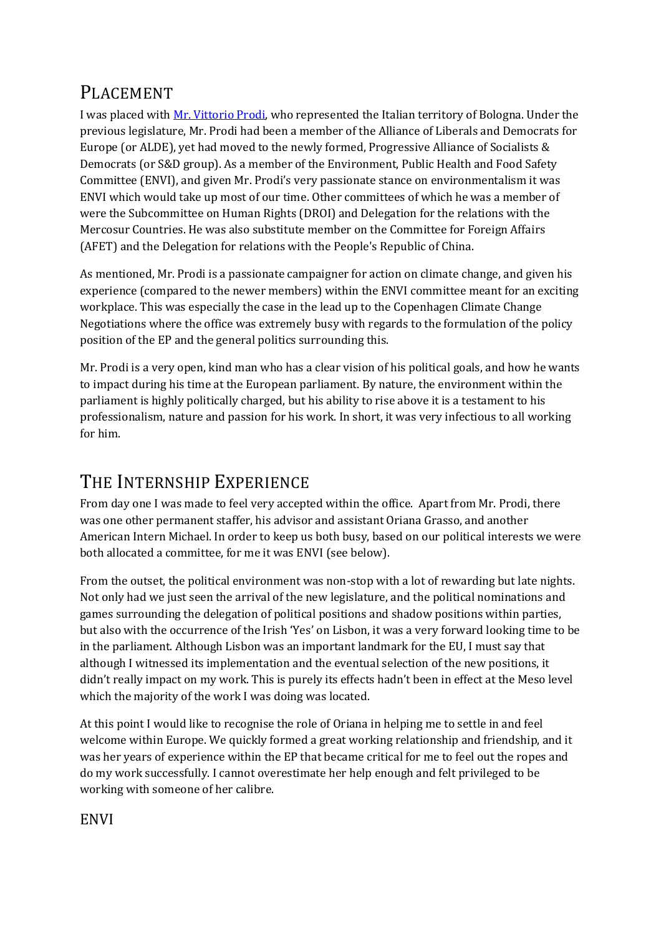# PLACEMENT

I was placed with Mr. Vittorio Prodi, who represented the Italian territory of Bologna. Under the previous legislature, Mr. Prodi had been a member of the Alliance of Liberals and Democrats for Europe (or ALDE), yet had moved to the newly formed, Progressive Alliance of Socialists & Democrats (or S&D group). As a member of the Environment, Public Health and Food Safety Committee (ENVI), and given Mr. Prodi's very passionate stance on environmentalism it was ENVI which would take up most of our time. Other committees of which he was a member of were the Subcommittee on Human Rights (DROI) and Delegation for the relations with the Mercosur Countries. He was also substitute member on the Committee for Foreign Affairs (AFET) and the Delegation for relations with the People's Republic of China.

As mentioned, Mr. Prodi is a passionate campaigner for action on climate change, and given his experience (compared to the newer members) within the ENVI committee meant for an exciting workplace. This was especially the case in the lead up to the Copenhagen Climate Change Negotiations where the office was extremely busy with regards to the formulation of the policy position of the EP and the general politics surrounding this.

Mr. Prodi is a very open, kind man who has a clear vision of his political goals, and how he wants to impact during his time at the European parliament. By nature, the environment within the parliament is highly politically charged, but his ability to rise above it is a testament to his professionalism, nature and passion for his work. In short, it was very infectious to all working for him.

# THE INTERNSHIP EXPERIENCE

From day one I was made to feel very accepted within the office. Apart from Mr. Prodi, there was one other permanent staffer, his advisor and assistant Oriana Grasso, and another American Intern Michael. In order to keep us both busy, based on our political interests we were both allocated a committee, for me it was ENVI (see below).

From the outset, the political environment was non-stop with a lot of rewarding but late nights. Not only had we just seen the arrival of the new legislature, and the political nominations and games surrounding the delegation of political positions and shadow positions within parties, but also with the occurrence of the Irish 'Yes' on Lisbon, it was a very forward looking time to be in the parliament. Although Lisbon was an important landmark for the EU, I must say that although I witnessed its implementation and the eventual selection of the new positions, it didn't really impact on my work. This is purely its effects hadn't been in effect at the Meso level which the majority of the work I was doing was located.

At this point I would like to recognise the role of Oriana in helping me to settle in and feel welcome within Europe. We quickly formed a great working relationship and friendship, and it was her years of experience within the EP that became critical for me to feel out the ropes and do my work successfully. I cannot overestimate her help enough and felt privileged to be working with someone of her calibre.

### ENVI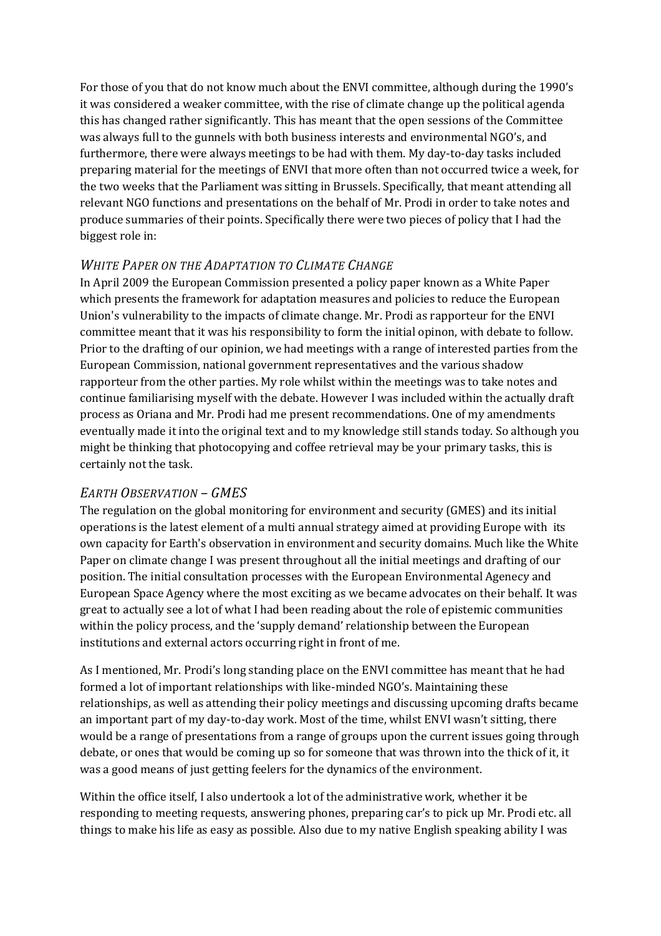For those of you that do not know much about the ENVI committee, although during the 1990's it was considered a weaker committee, with the rise of climate change up the political agenda this has changed rather significantly. This has meant that the open sessions of the Committee was always full to the gunnels with both business interests and environmental NGO's, and furthermore, there were always meetings to be had with them. My day-to-day tasks included preparing material for the meetings of ENVI that more often than not occurred twice a week, for the two weeks that the Parliament was sitting in Brussels. Specifically, that meant attending all relevant NGO functions and presentations on the behalf of Mr. Prodi in order to take notes and produce summaries of their points. Specifically there were two pieces of policy that I had the biggest role in:

#### *WHITE PAPER ON THE ADAPTATION TO CLIMATE CHANGE*

In April 2009 the European Commission presented a policy paper known as a White Paper which presents the framework for adaptation measures and policies to reduce the European Union's vulnerability to the impacts of climate change. Mr. Prodi as rapporteur for the ENVI committee meant that it was his responsibility to form the initial opinon, with debate to follow. Prior to the drafting of our opinion, we had meetings with a range of interested parties from the European Commission, national government representatives and the various shadow rapporteur from the other parties. My role whilst within the meetings was to take notes and continue familiarising myself with the debate. However I was included within the actually draft process as Oriana and Mr. Prodi had me present recommendations. One of my amendments eventually made it into the original text and to my knowledge still stands today. So although you might be thinking that photocopying and coffee retrieval may be your primary tasks, this is certainly not the task.

#### *EARTH OBSERVATION – GMES*

The regulation on the global monitoring for environment and security (GMES) and its initial operations is the latest element of a multi annual strategy aimed at providing Europe with its own capacity for Earth's observation in environment and security domains. Much like the White Paper on climate change I was present throughout all the initial meetings and drafting of our position. The initial consultation processes with the European Environmental Agenecy and European Space Agency where the most exciting as we became advocates on their behalf. It was great to actually see a lot of what I had been reading about the role of epistemic communities within the policy process, and the 'supply demand' relationship between the European institutions and external actors occurring right in front of me.

As I mentioned, Mr. Prodi's long standing place on the ENVI committee has meant that he had formed a lot of important relationships with like-minded NGO's. Maintaining these relationships, as well as attending their policy meetings and discussing upcoming drafts became an important part of my day-to-day work. Most of the time, whilst ENVI wasn't sitting, there would be a range of presentations from a range of groups upon the current issues going through debate, or ones that would be coming up so for someone that was thrown into the thick of it, it was a good means of just getting feelers for the dynamics of the environment.

Within the office itself, I also undertook a lot of the administrative work, whether it be responding to meeting requests, answering phones, preparing car's to pick up Mr. Prodi etc. all things to make his life as easy as possible. Also due to my native English speaking ability I was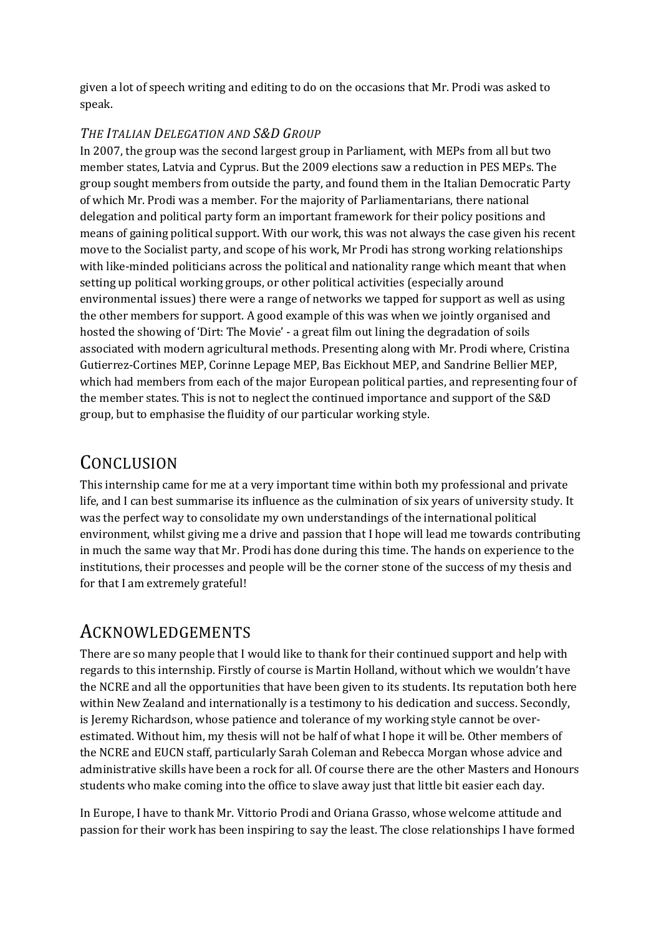given a lot of speech writing and editing to do on the occasions that Mr. Prodi was asked to speak.

#### *THE ITALIAN DELEGATION AND S&D GROUP*

In 2007, the group was the second largest group in Parliament, with MEPs from all but two member states, Latvia and Cyprus. But the 2009 elections saw a reduction in PES MEPs. The group sought members from outside the party, and found them in the Italian Democratic Party of which Mr. Prodi was a member. For the majority of Parliamentarians, there national delegation and political party form an important framework for their policy positions and means of gaining political support. With our work, this was not always the case given his recent move to the Socialist party, and scope of his work, Mr Prodi has strong working relationships with like-minded politicians across the political and nationality range which meant that when setting up political working groups, or other political activities (especially around environmental issues) there were a range of networks we tapped for support as well as using the other members for support. A good example of this was when we jointly organised and hosted the showing of 'Dirt: The Movie' - a great film out lining the degradation of soils associated with modern agricultural methods. Presenting along with Mr. Prodi where, Cristina Gutierrez-Cortines MEP, Corinne Lepage MEP, Bas Eickhout MEP, and Sandrine Bellier MEP, which had members from each of the major European political parties, and representing four of the member states. This is not to neglect the continued importance and support of the S&D group, but to emphasise the fluidity of our particular working style.

# **CONCLUSION**

This internship came for me at a very important time within both my professional and private life, and I can best summarise its influence as the culmination of six years of university study. It was the perfect way to consolidate my own understandings of the international political environment, whilst giving me a drive and passion that I hope will lead me towards contributing in much the same way that Mr. Prodi has done during this time. The hands on experience to the institutions, their processes and people will be the corner stone of the success of my thesis and for that I am extremely grateful!

### ACKNOWLEDGEMENTS

There are so many people that I would like to thank for their continued support and help with regards to this internship. Firstly of course is Martin Holland, without which we wouldn't have the NCRE and all the opportunities that have been given to its students. Its reputation both here within New Zealand and internationally is a testimony to his dedication and success. Secondly, is Jeremy Richardson, whose patience and tolerance of my working style cannot be overestimated. Without him, my thesis will not be half of what I hope it will be. Other members of the NCRE and EUCN staff, particularly Sarah Coleman and Rebecca Morgan whose advice and administrative skills have been a rock for all. Of course there are the other Masters and Honours students who make coming into the office to slave away just that little bit easier each day.

In Europe, I have to thank Mr. Vittorio Prodi and Oriana Grasso, whose welcome attitude and passion for their work has been inspiring to say the least. The close relationships I have formed